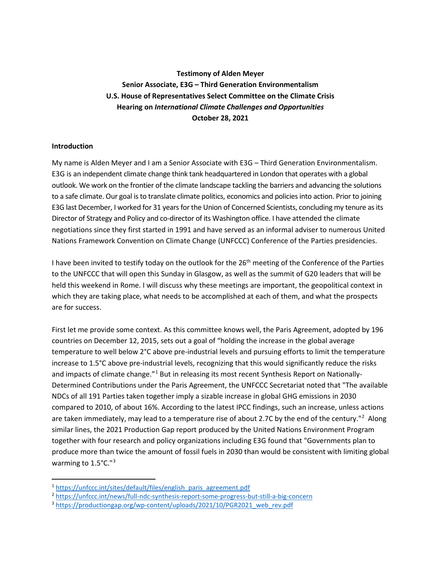**Testimony of Alden Meyer Senior Associate, E3G – Third Generation Environmentalism U.S. House of Representatives Select Committee on the Climate Crisis Hearing on** *International Climate Challenges and Opportunities* **October 28, 2021**

## **Introduction**

My name is Alden Meyer and I am a Senior Associate with E3G – Third Generation Environmentalism. E3G is an independent climate change think tank headquartered in London that operates with a global outlook. We work on the frontier of the climate landscape tackling the barriers and advancing the solutions to a safe climate. Our goal is to translate climate politics, economics and policies into action. Prior to joining E3G last December, I worked for 31 years for the Union of Concerned Scientists, concluding my tenure as its Director of Strategy and Policy and co-director of its Washington office. I have attended the climate negotiations since they first started in 1991 and have served as an informal adviser to numerous United Nations Framework Convention on Climate Change (UNFCCC) Conference of the Parties presidencies.

I have been invited to testify today on the outlook for the 26<sup>th</sup> meeting of the Conference of the Parties to the UNFCCC that will open this Sunday in Glasgow, as well as the summit of G20 leaders that will be held this weekend in Rome. I will discuss why these meetings are important, the geopolitical context in which they are taking place, what needs to be accomplished at each of them, and what the prospects are for success.

First let me provide some context. As this committee knows well, the Paris Agreement, adopted by 196 countries on December 12, 2015, sets out a goal of "holding the increase in the global average temperature to well below 2°C above pre-industrial levels and pursuing efforts to limit the temperature increase to 1.5°C above pre-industrial levels, recognizing that this would significantly reduce the risks and impacts of climate change."<sup>[1](#page-0-0)</sup> But in releasing its most recent Synthesis Report on Nationally-Determined Contributions under the Paris Agreement, the UNFCCC Secretariat noted that "The available NDCs of all 191 Parties taken together imply a sizable increase in global GHG emissions in 2030 compared to 2010, of about 16%. According to the latest IPCC findings, such an increase, unless actions are taken immediately, may lead to a temperature rise of about [2](#page-0-1).7C by the end of the century."<sup>2</sup> Along similar lines, the 2021 Production Gap report produced by the United Nations Environment Program together with four research and policy organizations including E3G found that "Governments plan to produce more than twice the amount of fossil fuels in 2030 than would be consistent with limiting global warming to 1.5°C."[3](#page-0-2)

<span id="page-0-0"></span><sup>&</sup>lt;sup>1</sup> [https://unfccc.int/sites/default/files/english\\_paris\\_agreement.pdf](https://unfccc.int/sites/default/files/english_paris_agreement.pdf)

<span id="page-0-1"></span><sup>2</sup> <https://unfccc.int/news/full-ndc-synthesis-report-some-progress-but-still-a-big-concern>

<span id="page-0-2"></span><sup>&</sup>lt;sup>3</sup> [https://productiongap.org/wp-content/uploads/2021/10/PGR2021\\_web\\_rev.pdf](https://productiongap.org/wp-content/uploads/2021/10/PGR2021_web_rev.pdf)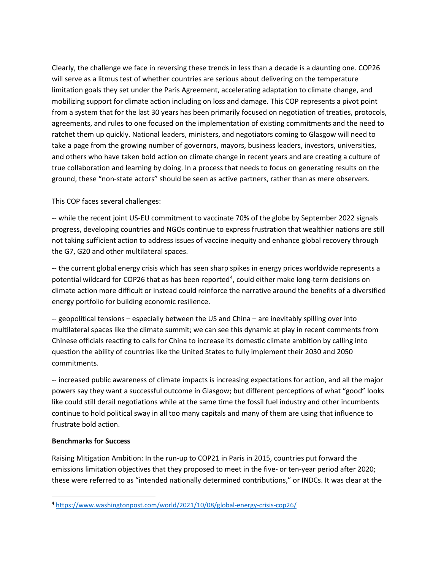Clearly, the challenge we face in reversing these trends in less than a decade is a daunting one. COP26 will serve as a litmus test of whether countries are serious about delivering on the temperature limitation goals they set under the Paris Agreement, accelerating adaptation to climate change, and mobilizing support for climate action including on loss and damage. This COP represents a pivot point from a system that for the last 30 years has been primarily focused on negotiation of treaties, protocols, agreements, and rules to one focused on the implementation of existing commitments and the need to ratchet them up quickly. National leaders, ministers, and negotiators coming to Glasgow will need to take a page from the growing number of governors, mayors, business leaders, investors, universities, and others who have taken bold action on climate change in recent years and are creating a culture of true collaboration and learning by doing. In a process that needs to focus on generating results on the ground, these "non-state actors" should be seen as active partners, rather than as mere observers.

This COP faces several challenges:

-- while the recent joint US-EU commitment to vaccinate 70% of the globe by September 2022 signals progress, developing countries and NGOs continue to express frustration that wealthier nations are still not taking sufficient action to address issues of vaccine inequity and enhance global recovery through the G7, G20 and other multilateral spaces.

-- the current global energy crisis which has seen sharp spikes in energy prices worldwide represents a potential wildcard for COP26 that as has been reported<sup>[4](#page-1-0)</sup>, could either make long-term decisions on climate action more difficult or instead could reinforce the narrative around the benefits of a diversified energy portfolio for building economic resilience.

-- geopolitical tensions – especially between the US and China – are inevitably spilling over into multilateral spaces like the climate summit; we can see this dynamic at play in recent comments from Chinese officials reacting to calls for China to increase its domestic climate ambition by calling into question the ability of countries like the United States to fully implement their 2030 and 2050 commitments.

-- increased public awareness of climate impacts is increasing expectations for action, and all the major powers say they want a successful outcome in Glasgow; but different perceptions of what "good" looks like could still derail negotiations while at the same time the fossil fuel industry and other incumbents continue to hold political sway in all too many capitals and many of them are using that influence to frustrate bold action.

## **Benchmarks for Success**

Raising Mitigation Ambition: In the run-up to COP21 in Paris in 2015, countries put forward the emissions limitation objectives that they proposed to meet in the five- or ten-year period after 2020; these were referred to as "intended nationally determined contributions," or INDCs. It was clear at the

<span id="page-1-0"></span><sup>4</sup> <https://www.washingtonpost.com/world/2021/10/08/global-energy-crisis-cop26/>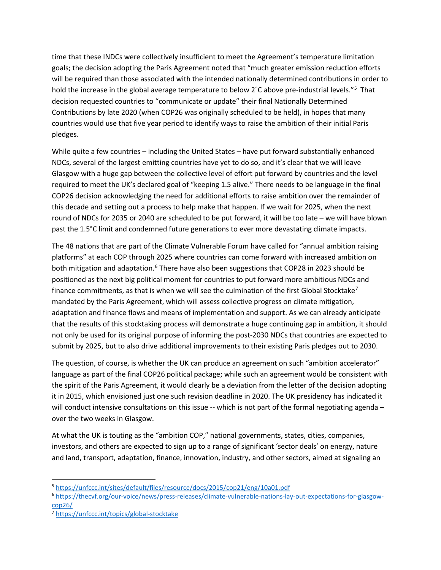time that these INDCs were collectively insufficient to meet the Agreement's temperature limitation goals; the decision adopting the Paris Agreement noted that "much greater emission reduction efforts will be required than those associated with the intended nationally determined contributions in order to hold the increase in the global average temperature to below 2°C above pre-industrial levels."<sup>[5](#page-2-0)</sup> That decision requested countries to "communicate or update" their final Nationally Determined Contributions by late 2020 (when COP26 was originally scheduled to be held), in hopes that many countries would use that five year period to identify ways to raise the ambition of their initial Paris pledges.

While quite a few countries – including the United States – have put forward substantially enhanced NDCs, several of the largest emitting countries have yet to do so, and it's clear that we will leave Glasgow with a huge gap between the collective level of effort put forward by countries and the level required to meet the UK's declared goal of "keeping 1.5 alive." There needs to be language in the final COP26 decision acknowledging the need for additional efforts to raise ambition over the remainder of this decade and setting out a process to help make that happen. If we wait for 2025, when the next round of NDCs for 2035 or 2040 are scheduled to be put forward, it will be too late – we will have blown past the 1.5°C limit and condemned future generations to ever more devastating climate impacts.

The 48 nations that are part of the Climate Vulnerable Forum have called for "annual ambition raising platforms" at each COP through 2025 where countries can come forward with increased ambition on both mitigation and adaptation.<sup>[6](#page-2-1)</sup> There have also been suggestions that COP28 in 2023 should be positioned as the next big political moment for countries to put forward more ambitious NDCs and finance commitments, as that is when we will see the culmination of the first Global Stocktake<sup>[7](#page-2-2)</sup> mandated by the Paris Agreement, which will assess collective progress on climate mitigation, adaptation and finance flows and means of implementation and support. As we can already anticipate that the results of this stocktaking process will demonstrate a huge continuing gap in ambition, it should not only be used for its original purpose of informing the post-2030 NDCs that countries are expected to submit by 2025, but to also drive additional improvements to their existing Paris pledges out to 2030.

The question, of course, is whether the UK can produce an agreement on such "ambition accelerator" language as part of the final COP26 political package; while such an agreement would be consistent with the spirit of the Paris Agreement, it would clearly be a deviation from the letter of the decision adopting it in 2015, which envisioned just one such revision deadline in 2020. The UK presidency has indicated it will conduct intensive consultations on this issue -- which is not part of the formal negotiating agenda over the two weeks in Glasgow.

At what the UK is touting as the "ambition COP," national governments, states, cities, companies, investors, and others are expected to sign up to a range of significant 'sector deals' on energy, nature and land, transport, adaptation, finance, innovation, industry, and other sectors, aimed at signaling an

<span id="page-2-0"></span><sup>5</sup> <https://unfccc.int/sites/default/files/resource/docs/2015/cop21/eng/10a01.pdf>

<span id="page-2-1"></span><sup>6</sup> [https://thecvf.org/our-voice/news/press-releases/climate-vulnerable-nations-lay-out-expectations-for-glasgow](https://thecvf.org/our-voice/news/press-releases/climate-vulnerable-nations-lay-out-expectations-for-glasgow-cop26/)[cop26/](https://thecvf.org/our-voice/news/press-releases/climate-vulnerable-nations-lay-out-expectations-for-glasgow-cop26/)

<span id="page-2-2"></span><sup>7</sup> <https://unfccc.int/topics/global-stocktake>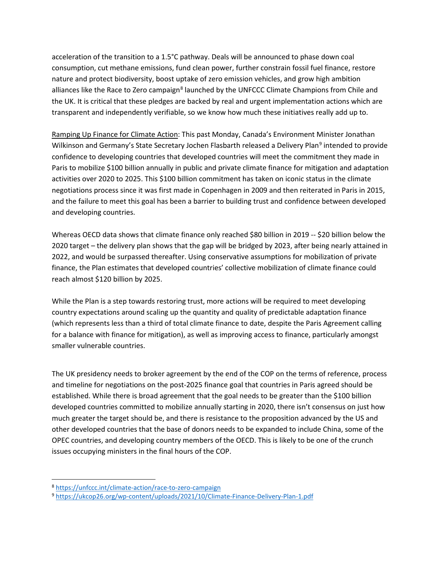acceleration of the transition to a 1.5°C pathway. Deals will be announced to phase down coal consumption, cut methane emissions, fund clean power, further constrain fossil fuel finance, restore nature and protect biodiversity, boost uptake of zero emission vehicles, and grow high ambition alliances like the Race to Zero campaign<sup>[8](#page-3-0)</sup> launched by the UNFCCC Climate Champions from Chile and the UK. It is critical that these pledges are backed by real and urgent implementation actions which are transparent and independently verifiable, so we know how much these initiatives really add up to.

Ramping Up Finance for Climate Action: This past Monday, Canada's Environment Minister Jonathan Wilkinson and Germany's State Secretary Jochen Flasbarth released a Delivery Plan<sup>[9](#page-3-1)</sup> intended to provide confidence to developing countries that developed countries will meet the commitment they made in Paris to mobilize \$100 billion annually in public and private climate finance for mitigation and adaptation activities over 2020 to 2025. This \$100 billion commitment has taken on iconic status in the climate negotiations process since it was first made in Copenhagen in 2009 and then reiterated in Paris in 2015, and the failure to meet this goal has been a barrier to building trust and confidence between developed and developing countries.

Whereas OECD data shows that climate finance only reached \$80 billion in 2019 -- \$20 billion below the 2020 target – the delivery plan shows that the gap will be bridged by 2023, after being nearly attained in 2022, and would be surpassed thereafter. Using conservative assumptions for mobilization of private finance, the Plan estimates that developed countries' collective mobilization of climate finance could reach almost \$120 billion by 2025.

While the Plan is a step towards restoring trust, more actions will be required to meet developing country expectations around scaling up the quantity and quality of predictable adaptation finance (which represents less than a third of total climate finance to date, despite the Paris Agreement calling for a balance with finance for mitigation), as well as improving access to finance, particularly amongst smaller vulnerable countries.

The UK presidency needs to broker agreement by the end of the COP on the terms of reference, process and timeline for negotiations on the post-2025 finance goal that countries in Paris agreed should be established. While there is broad agreement that the goal needs to be greater than the \$100 billion developed countries committed to mobilize annually starting in 2020, there isn't consensus on just how much greater the target should be, and there is resistance to the proposition advanced by the US and other developed countries that the base of donors needs to be expanded to include China, some of the OPEC countries, and developing country members of the OECD. This is likely to be one of the crunch issues occupying ministers in the final hours of the COP.

<span id="page-3-0"></span><sup>8</sup> <https://unfccc.int/climate-action/race-to-zero-campaign>

<span id="page-3-1"></span><sup>9</sup> <https://ukcop26.org/wp-content/uploads/2021/10/Climate-Finance-Delivery-Plan-1.pdf>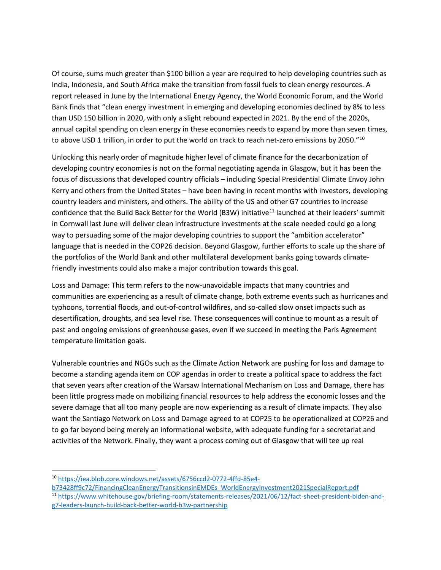Of course, sums much greater than \$100 billion a year are required to help developing countries such as India, Indonesia, and South Africa make the transition from fossil fuels to clean energy resources. A report released in June by the International Energy Agency, the World Economic Forum, and the World Bank finds that "clean energy investment in emerging and developing economies declined by 8% to less than USD 150 billion in 2020, with only a slight rebound expected in 2021. By the end of the 2020s, annual capital spending on clean energy in these economies needs to expand by more than seven times, to above USD 1 trillion, in order to put the world on track to reach net-zero emissions by 2050."<sup>10</sup>

Unlocking this nearly order of magnitude higher level of climate finance for the decarbonization of developing country economies is not on the formal negotiating agenda in Glasgow, but it has been the focus of discussions that developed country officials – including Special Presidential Climate Envoy John Kerry and others from the United States – have been having in recent months with investors, developing country leaders and ministers, and others. The ability of the US and other G7 countries to increase confidence that the Build Back Better for the World (B3W) initiative<sup>[11](#page-4-1)</sup> launched at their leaders' summit in Cornwall last June will deliver clean infrastructure investments at the scale needed could go a long way to persuading some of the major developing countries to support the "ambition accelerator" language that is needed in the COP26 decision. Beyond Glasgow, further efforts to scale up the share of the portfolios of the World Bank and other multilateral development banks going towards climatefriendly investments could also make a major contribution towards this goal.

Loss and Damage: This term refers to the now-unavoidable impacts that many countries and communities are experiencing as a result of climate change, both extreme events such as hurricanes and typhoons, torrential floods, and out-of-control wildfires, and so-called slow onset impacts such as desertification, droughts, and sea level rise. These consequences will continue to mount as a result of past and ongoing emissions of greenhouse gases, even if we succeed in meeting the Paris Agreement temperature limitation goals.

Vulnerable countries and NGOs such as the Climate Action Network are pushing for loss and damage to become a standing agenda item on COP agendas in order to create a political space to address the fact that seven years after creation of the Warsaw International Mechanism on Loss and Damage, there has been little progress made on mobilizing financial resources to help address the economic losses and the severe damage that all too many people are now experiencing as a result of climate impacts. They also want the Santiago Network on Loss and Damage agreed to at COP25 to be operationalized at COP26 and to go far beyond being merely an informational website, with adequate funding for a secretariat and activities of the Network. Finally, they want a process coming out of Glasgow that will tee up real

<span id="page-4-0"></span><sup>10</sup> [https://iea.blob.core.windows.net/assets/6756ccd2-0772-4ffd-85e4-](https://iea.blob.core.windows.net/assets/6756ccd2-0772-4ffd-85e4-b73428ff9c72/FinancingCleanEnergyTransitionsinEMDEs_WorldEnergyInvestment2021SpecialReport.pdf)

[b73428ff9c72/FinancingCleanEnergyTransitionsinEMDEs\\_WorldEnergyInvestment2021SpecialReport.pdf](https://iea.blob.core.windows.net/assets/6756ccd2-0772-4ffd-85e4-b73428ff9c72/FinancingCleanEnergyTransitionsinEMDEs_WorldEnergyInvestment2021SpecialReport.pdf)

<span id="page-4-1"></span><sup>11</sup> [https://www.whitehouse.gov/briefing-room/statements-releases/2021/06/12/fact-sheet-president-biden-and](https://www.whitehouse.gov/briefing-room/statements-releases/2021/06/12/fact-sheet-president-biden-and-g7-leaders-launch-build-back-better-world-b3w-partnership)[g7-leaders-launch-build-back-better-world-b3w-partnership](https://www.whitehouse.gov/briefing-room/statements-releases/2021/06/12/fact-sheet-president-biden-and-g7-leaders-launch-build-back-better-world-b3w-partnership)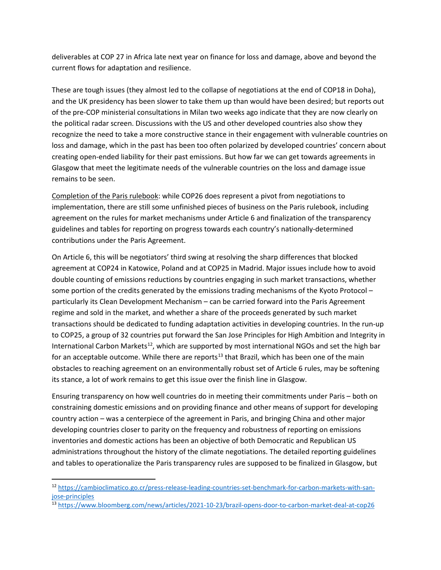deliverables at COP 27 in Africa late next year on finance for loss and damage, above and beyond the current flows for adaptation and resilience.

These are tough issues (they almost led to the collapse of negotiations at the end of COP18 in Doha), and the UK presidency has been slower to take them up than would have been desired; but reports out of the pre-COP ministerial consultations in Milan two weeks ago indicate that they are now clearly on the political radar screen. Discussions with the US and other developed countries also show they recognize the need to take a more constructive stance in their engagement with vulnerable countries on loss and damage, which in the past has been too often polarized by developed countries' concern about creating open-ended liability for their past emissions. But how far we can get towards agreements in Glasgow that meet the legitimate needs of the vulnerable countries on the loss and damage issue remains to be seen.

Completion of the Paris rulebook: while COP26 does represent a pivot from negotiations to implementation, there are still some unfinished pieces of business on the Paris rulebook, including agreement on the rules for market mechanisms under Article 6 and finalization of the transparency guidelines and tables for reporting on progress towards each country's nationally-determined contributions under the Paris Agreement.

On Article 6, this will be negotiators' third swing at resolving the sharp differences that blocked agreement at COP24 in Katowice, Poland and at COP25 in Madrid. Major issues include how to avoid double counting of emissions reductions by countries engaging in such market transactions, whether some portion of the credits generated by the emissions trading mechanisms of the Kyoto Protocol – particularly its Clean Development Mechanism – can be carried forward into the Paris Agreement regime and sold in the market, and whether a share of the proceeds generated by such market transactions should be dedicated to funding adaptation activities in developing countries. In the run-up to COP25, a group of 32 countries put forward the San Jose Principles for High Ambition and Integrity in International Carbon Markets<sup>12</sup>, which are supported by most international NGOs and set the high bar for an acceptable outcome. While there are reports<sup>[13](#page-5-1)</sup> that Brazil, which has been one of the main obstacles to reaching agreement on an environmentally robust set of Article 6 rules, may be softening its stance, a lot of work remains to get this issue over the finish line in Glasgow.

Ensuring transparency on how well countries do in meeting their commitments under Paris – both on constraining domestic emissions and on providing finance and other means of support for developing country action – was a centerpiece of the agreement in Paris, and bringing China and other major developing countries closer to parity on the frequency and robustness of reporting on emissions inventories and domestic actions has been an objective of both Democratic and Republican US administrations throughout the history of the climate negotiations. The detailed reporting guidelines and tables to operationalize the Paris transparency rules are supposed to be finalized in Glasgow, but

<span id="page-5-0"></span><sup>12</sup> [https://cambioclimatico.go.cr/press-release-leading-countries-set-benchmark-for-carbon-markets-with-san](https://cambioclimatico.go.cr/press-release-leading-countries-set-benchmark-for-carbon-markets-with-san-jose-principles)[jose-principles](https://cambioclimatico.go.cr/press-release-leading-countries-set-benchmark-for-carbon-markets-with-san-jose-principles)

<span id="page-5-1"></span><sup>13</sup> <https://www.bloomberg.com/news/articles/2021-10-23/brazil-opens-door-to-carbon-market-deal-at-cop26>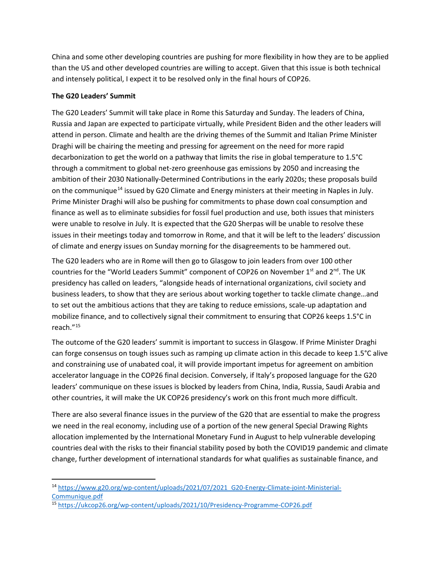China and some other developing countries are pushing for more flexibility in how they are to be applied than the US and other developed countries are willing to accept. Given that this issue is both technical and intensely political, I expect it to be resolved only in the final hours of COP26.

## **The G20 Leaders' Summit**

The G20 Leaders' Summit will take place in Rome this Saturday and Sunday. The leaders of China, Russia and Japan are expected to participate virtually, while President Biden and the other leaders will attend in person. Climate and health are the driving themes of the Summit and Italian Prime Minister Draghi will be chairing the meeting and pressing for agreement on the need for more rapid decarbonization to get the world on a pathway that limits the rise in global temperature to 1.5°C through a commitment to global net-zero greenhouse gas emissions by 2050 and increasing the ambition of their 2030 Nationally-Determined Contributions in the early 2020s; these proposals build on the communique<sup>[14](#page-6-0)</sup> issued by G20 Climate and Energy ministers at their meeting in Naples in July. Prime Minister Draghi will also be pushing for commitments to phase down coal consumption and finance as well as to eliminate subsidies for fossil fuel production and use, both issues that ministers were unable to resolve in July. It is expected that the G20 Sherpas will be unable to resolve these issues in their meetings today and tomorrow in Rome, and that it will be left to the leaders' discussion of climate and energy issues on Sunday morning for the disagreements to be hammered out.

The G20 leaders who are in Rome will then go to Glasgow to join leaders from over 100 other countries for the "World Leaders Summit" component of COP26 on November  $1<sup>st</sup>$  and  $2<sup>nd</sup>$ . The UK presidency has called on leaders, "alongside heads of international organizations, civil society and business leaders, to show that they are serious about working together to tackle climate change…and to set out the ambitious actions that they are taking to reduce emissions, scale-up adaptation and mobilize finance, and to collectively signal their commitment to ensuring that COP26 keeps 1.5°C in reach."[15](#page-6-1)

The outcome of the G20 leaders' summit is important to success in Glasgow. If Prime Minister Draghi can forge consensus on tough issues such as ramping up climate action in this decade to keep 1.5°C alive and constraining use of unabated coal, it will provide important impetus for agreement on ambition accelerator language in the COP26 final decision. Conversely, if Italy's proposed language for the G20 leaders' communique on these issues is blocked by leaders from China, India, Russia, Saudi Arabia and other countries, it will make the UK COP26 presidency's work on this front much more difficult.

There are also several finance issues in the purview of the G20 that are essential to make the progress we need in the real economy, including use of a portion of the new general Special Drawing Rights allocation implemented by the International Monetary Fund in August to help vulnerable developing countries deal with the risks to their financial stability posed by both the COVID19 pandemic and climate change, further development of international standards for what qualifies as sustainable finance, and

<span id="page-6-0"></span><sup>14</sup> [https://www.g20.org/wp-content/uploads/2021/07/2021\\_G20-Energy-Climate-joint-Ministerial-](https://www.g20.org/wp-content/uploads/2021/07/2021_G20-Energy-Climate-joint-Ministerial-Communique.pdf)[Communique.pdf](https://www.g20.org/wp-content/uploads/2021/07/2021_G20-Energy-Climate-joint-Ministerial-Communique.pdf)

<span id="page-6-1"></span><sup>15</sup> <https://ukcop26.org/wp-content/uploads/2021/10/Presidency-Programme-COP26.pdf>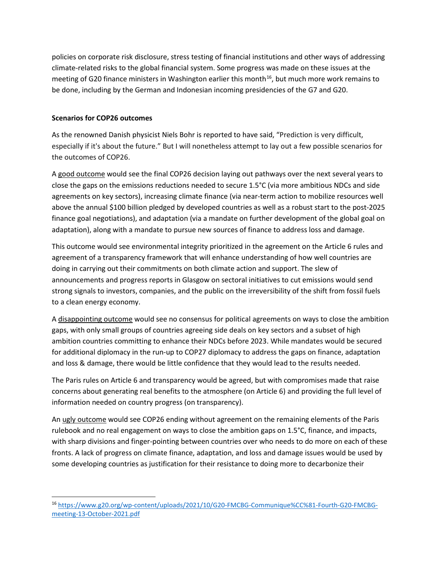policies on corporate risk disclosure, stress testing of financial institutions and other ways of addressing climate-related risks to the global financial system. Some progress was made on these issues at the meeting of G20 finance ministers in Washington earlier this month<sup>[16](#page-7-0)</sup>, but much more work remains to be done, including by the German and Indonesian incoming presidencies of the G7 and G20.

## **Scenarios for COP26 outcomes**

As the renowned Danish physicist Niels Bohr is reported to have said, "Prediction is very difficult, especially if it's about the future." But I will nonetheless attempt to lay out a few possible scenarios for the outcomes of COP26.

A good outcome would see the final COP26 decision laying out pathways over the next several years to close the gaps on the emissions reductions needed to secure 1.5°C (via more ambitious NDCs and side agreements on key sectors), increasing climate finance (via near-term action to mobilize resources well above the annual \$100 billion pledged by developed countries as well as a robust start to the post-2025 finance goal negotiations), and adaptation (via a mandate on further development of the global goal on adaptation), along with a mandate to pursue new sources of finance to address loss and damage.

This outcome would see environmental integrity prioritized in the agreement on the Article 6 rules and agreement of a transparency framework that will enhance understanding of how well countries are doing in carrying out their commitments on both climate action and support. The slew of announcements and progress reports in Glasgow on sectoral initiatives to cut emissions would send strong signals to investors, companies, and the public on the irreversibility of the shift from fossil fuels to a clean energy economy.

A disappointing outcome would see no consensus for political agreements on ways to close the ambition gaps, with only small groups of countries agreeing side deals on key sectors and a subset of high ambition countries committing to enhance their NDCs before 2023. While mandates would be secured for additional diplomacy in the run-up to COP27 diplomacy to address the gaps on finance, adaptation and loss & damage, there would be little confidence that they would lead to the results needed.

The Paris rules on Article 6 and transparency would be agreed, but with compromises made that raise concerns about generating real benefits to the atmosphere (on Article 6) and providing the full level of information needed on country progress (on transparency).

An ugly outcome would see COP26 ending without agreement on the remaining elements of the Paris rulebook and no real engagement on ways to close the ambition gaps on 1.5°C, finance, and impacts, with sharp divisions and finger-pointing between countries over who needs to do more on each of these fronts. A lack of progress on climate finance, adaptation, and loss and damage issues would be used by some developing countries as justification for their resistance to doing more to decarbonize their

<span id="page-7-0"></span><sup>16</sup> [https://www.g20.org/wp-content/uploads/2021/10/G20-FMCBG-Communique%CC%81-Fourth-G20-FMCBG](https://www.g20.org/wp-content/uploads/2021/10/G20-FMCBG-Communique%CC%81-Fourth-G20-FMCBG-meeting-13-October-2021.pdf)[meeting-13-October-2021.pdf](https://www.g20.org/wp-content/uploads/2021/10/G20-FMCBG-Communique%CC%81-Fourth-G20-FMCBG-meeting-13-October-2021.pdf)